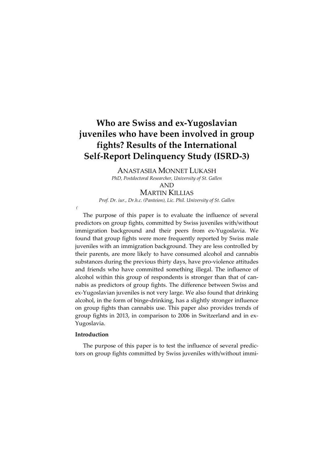# **Who are Swiss and ex‐Yugoslavian juveniles who have been involved in group fights? Results of the International Self‐Report Delinquency Study (ISRD‐3)**

ANASTASIIA MONNET LUKASH

*PhD, Postdoctoral Researcher, University of St. Gallen*

AND

MARTIN KILLIAS *Prof. Dr. iur., Dr.h.c. (Panteion), Lic. Phil. University of St. Gallen*

The purpose of this paper is to evaluate the influence of several predictors on group fights, committed by Swiss juveniles with/without immigration background and their peers from ex‐Yugoslavia. We found that group fights were more frequently reported by Swiss male juveniles with an immigration background. They are less controlled by their parents, are more likely to have consumed alcohol and cannabis substances during the previous thirty days, have pro-violence attitudes and friends who have committed something illegal. The influence of alcohol within this group of respondents is stronger than that of cannabis as predictors of group fights. The difference between Swiss and ex‐Yugoslavian juveniles is not very large. We also found that drinking alcohol, in the form of binge‐drinking, has a slightly stronger influence on group fights than cannabis use. This paper also provides trends of group fights in 2013, in comparison to 2006 in Switzerland and in ex‐ Yugoslavia.

# **Introduction**

*(*

The purpose of this paper is to test the influence of several predic‐ tors on group fights committed by Swiss juveniles with/without immi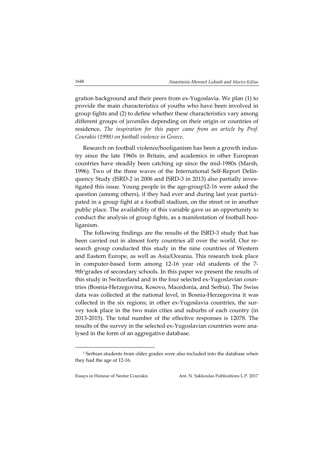gration background and their peers from ex‐Yugoslavia. We plan (1) to provide the main characteristics of youths who have been involved in group fights and (2) to define whether these characteristics vary among different groups of juveniles depending on their origin or countries of residence**.** *The inspiration for this paper came from an article by Prof. Courakis (1998) on football violence in Greece*.

Research on football violence/hooliganism has been a growth indus‐ try since the late 1960s in Britain, and academics in other European countries have steadily been catching up since the mid‐1980s (Marsh, 1996). Two of the three waves of the International Self‐Report Delin‐ quency Study (ISRD‐2 in 2006 and ISRD‐3 in 2013) also partially inves‐ tigated this issue. Young people in the age‐group12‐16 were asked the question (among others), if they had ever and during last year participated in a group fight at a football stadium, on the street or in another public place. The availability of this variable gave us an opportunity to conduct the analysis of group fights, as a manifestation of football hooliganism.

The following findings are the results of the ISRD‐3 study that has been carried out in almost forty countries all over the world. Our research group conducted this study in the nine countries of Western and Eastern Europe, as well as Asia/Oceania. This research took place in computer-based form among 12-16 year old students of the 7-9th<sup>1</sup>grades of secondary schools. In this paper we present the results of this study in Switzerland and in the four selected ex‐Yugoslavian coun‐ tries (Bosnia‐Herzegovina, Kosovo, Macedonia, and Serbia). The Swiss data was collected at the national level, in Bosnia‐Herzegovina it was collected in the six regions; in other ex-Yugoslavia countries, the survey took place in the two main cities and suburbs of each country (in 2013‐2015). The total number of the effective responses is 12078. The results of the survey in the selected ex‐Yugoslavian countries were ana‐ lysed in the form of an aggregative database.

-

<sup>&</sup>lt;sup>1</sup> Serbian students from older grades were also included into the database when they had the age of 12‐16.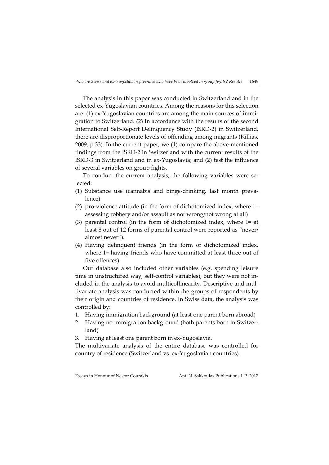The analysis in this paper was conducted in Switzerland and in the selected ex-Yugoslavian countries. Among the reasons for this selection are: (1) ex-Yugoslavian countries are among the main sources of immigration to Switzerland. (2) In accordance with the results of the second International Self‐Report Delinquency Study (ISRD‐2) in Switzerland, there are disproportionate levels of offending among migrants (Killias, 2009, p.33). In the current paper, we (1) compare the above‐mentioned findings from the ISRD‐2 in Switzerland with the current results of the ISRD‐3 in Switzerland and in ex‐Yugoslavia; and (2) test the influence of several variables on group fights.

To conduct the current analysis, the following variables were selected:

- (1) Substance use (cannabis and binge‐drinking, last month preva‐ lence)
- (2) pro‐violence attitude (in the form of dichotomized index, where 1= assessing robbery and/or assault as not wrong/not wrong at all)
- (3) parental control (in the form of dichotomized index, where 1= at least 8 out of 12 forms of parental control were reported as "never/ almost never").
- (4) Having delinquent friends (in the form of dichotomized index, where 1= having friends who have committed at least three out of five offences).

Our database also included other variables (e.g. spending leisure time in unstructured way, self-control variables), but they were not included in the analysis to avoid multicollinearity. Descriptive and multivariate analysis was conducted within the groups of respondents by their origin and countries of residence. In Swiss data, the analysis was controlled by:

- 1. Having immigration background (at least one parent born abroad)
- 2. Having no immigration background (both parents born in Switzer‐ land)
- 3. Having at least one parent born in ex‐Yugoslavia.

The multivariate analysis of the entire database was controlled for country of residence (Switzerland vs. ex‐Yugoslavian countries).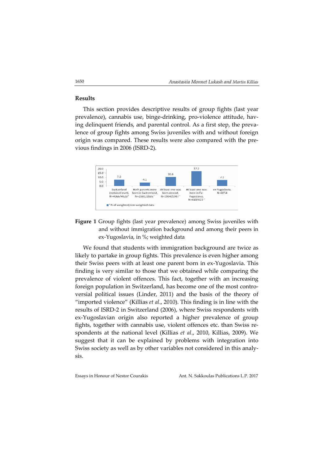### **Results**

This section provides descriptive results of group fights (last year prevalence), cannabis use, binge-drinking, pro-violence attitude, having delinquent friends, and parental control. As a first step, the prevalence of group fights among Swiss juveniles with and without foreign origin was compared. These results were also compared with the pre‐ vious findings in 2006 (ISRD‐2).



**Figure 1** Group fights (last year prevalence) among Swiss juveniles with and without immigration background and among their peers in ex‐Yugoslavia, in %; weighted data

We found that students with immigration background are twice as likely to partake in group fights. This prevalence is even higher among their Swiss peers with at least one parent born in ex‐Yugoslavia. This finding is very similar to those that we obtained while comparing the prevalence of violent offences. This fact, together with an increasing foreign population in Switzerland, has become one of the most controversial political issues (Linder, 2011) and the basis of the theory of "imported violence" (Killias *et al*., 2010). This finding is in line with the results of ISRD‐2 in Switzerland (2006), where Swiss respondents with ex‐Yugoslavian origin also reported a higher prevalence of group fights, together with cannabis use, violent offences etc. than Swiss respondents at the national level (Killias *et al*., 2010, Killias, 2009). We suggest that it can be explained by problems with integration into Swiss society as well as by other variables not considered in this analy‐ sis.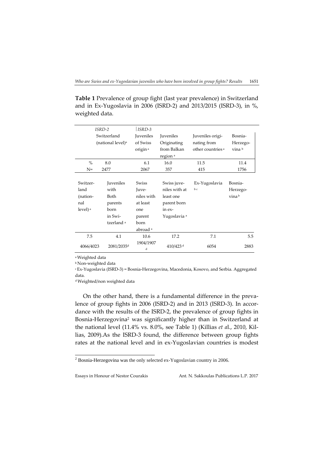**Table 1** Prevalence of group fight (last year prevalence) in Switzerland and in Ex‐Yugoslavia in 2006 (ISRD‐2) and 2013/2015 (ISRD‐3), in %, weighted data.

| ISRD-2              |                               | $ $ ISRD-3          |                         |                              |          |
|---------------------|-------------------------------|---------------------|-------------------------|------------------------------|----------|
| Switzerland         |                               | Juveniles           | Juveniles               | Juveniles origi-             | Bosnia-  |
|                     | (national level) <sup>a</sup> | of Swiss            | Originating             | nating from                  | Herzego- |
|                     |                               | origin <sup>a</sup> | from Balkan             | other countries <sup>a</sup> | vina b   |
|                     |                               |                     | region <sup>a</sup>     |                              |          |
| $\%$                | 8.0                           | 6.1                 | 16.0                    | 11.5                         | 11.4     |
| $N =$               | 2477                          | 2067                | 357                     | 415                          | 1756     |
|                     |                               |                     |                         |                              |          |
| Switzer-            | <b>Juveniles</b>              | <b>Swiss</b>        | Swiss juve-             | Ex-Yugoslavia                | Bosnia-  |
| land                | with                          | Juve-               | niles with at           | bc                           | Herzego- |
| (nation-            | Both                          | niles with          | least one               |                              | vina b   |
| nal                 | parents                       | at least            | parent born             |                              |          |
| level) <sup>a</sup> | born                          | one                 | in ex-                  |                              |          |
|                     | in Swi-                       | parent              | Yugoslavia <sup>a</sup> |                              |          |
|                     | tzerland <sup>a</sup>         | born                |                         |                              |          |
|                     |                               | abroad <sup>a</sup> |                         |                              |          |
| 7.5                 | 4.1                           | 10.6                | 17.2                    | 7.1                          | 5.5      |
| 4066/4023           | 2081/2035 <sup>d</sup>        | 1904/1907<br>d      | 410/423 <sup>d</sup>    | 6054                         | 2883     |

aWeighted data

<sup>b</sup> Non‐weighted data

<sup>c</sup> Ex‐Yugoslavia (ISRD‐3) = Bosnia‐Herzegovina, Macedonia, Kosovo, and Serbia. Aggregated data.

dWeighted/non weighted data

On the other hand, there is a fundamental difference in the prevalence of group fights in 2006 (ISRD‐2) and in 2013 (ISRD‐3). In accor‐ dance with the results of the ISRD‐2, the prevalence of group fights in Bosnia‐Herzegovina2 was significantly higher than in Switzerland at the national level (11.4% vs. 8.0%, see Table 1) (Killias *et a*l., 2010, Kil‐ lias, 2009).As the ISRD‐3 found, the difference between group fights rates at the national level and in ex‐Yugoslavian countries is modest

 2 Bosnia-Herzegovina was the only selected ex-Yugoslavian country in 2006.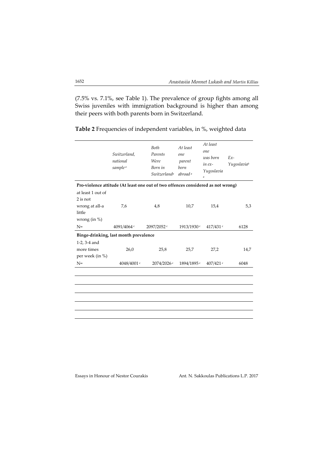(7.5% vs. 7.1%, see Table 1). The prevalence of group fights among all Swiss juveniles with immigration background is higher than among their peers with both parents born in Switzerland.

*Switzerland, national sample <sup>a</sup> Both Parents Were Born in Switzerlanda At least one parent born abroad <sup>a</sup> At least one was born in ex‐ Yugoslavia a Ex‐ Yugoslaviab* **Pro‐violence attitude (At least one out of two offences considered as not wrong)** at least 1 out of 2 is not wrong at all‐a little wrong (in %) 7,6 4,8 10,7 15,4 5,3 N=  $4091/4064$  c  $2097/2052$  c  $1913/1930$  c  $417/431$  c 6128 **Binge‐drinking, last month prevalence** 1‐2, 3‐4 and more times per week (in %) 26,0 25,8 25,7 27,2 14,7 N=  $4048/4001$  c  $2074/2026$  c  $1894/1895$  c  $407/421$  c 6048

**Table 2** Frequencies of independent variables, in %, weighted data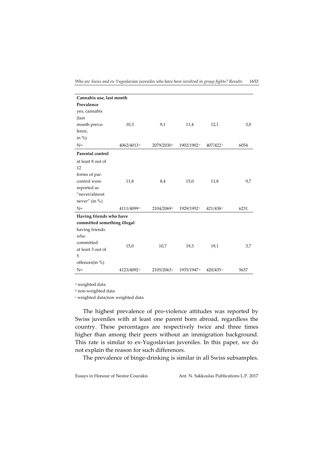| Cannabis use, last month    |                        |                        |             |      |  |
|-----------------------------|------------------------|------------------------|-------------|------|--|
|                             |                        |                        |             |      |  |
|                             |                        |                        |             |      |  |
|                             |                        |                        |             |      |  |
| 10,3                        | 9,1                    | 11,4                   | 12,1        | 3,0  |  |
|                             |                        |                        |             |      |  |
|                             |                        |                        |             |      |  |
| $4062/4013$ c               | 2079/2030 <sup>c</sup> | 1902/1902c             | $407/422$ c | 6054 |  |
|                             |                        |                        |             |      |  |
|                             |                        |                        |             |      |  |
|                             |                        |                        |             |      |  |
|                             |                        |                        |             |      |  |
| 11,8                        | 8,4                    | 15,0                   | 11,8        | 9,7  |  |
|                             |                        |                        |             |      |  |
|                             |                        |                        |             |      |  |
|                             |                        |                        |             |      |  |
| 4111/4099c                  | 2104/2069c             | 1929/1952 c            | 421/438     | 6231 |  |
| Having friends who have     |                        |                        |             |      |  |
| committed something illegal |                        |                        |             |      |  |
|                             |                        |                        |             |      |  |
|                             |                        |                        |             |      |  |
|                             |                        |                        |             | 3,7  |  |
|                             |                        |                        |             |      |  |
|                             |                        |                        |             |      |  |
|                             |                        |                        |             |      |  |
| 4123/4092c                  | 2105/2063 <sup>c</sup> | 1935/1947 <sup>c</sup> | 420/435     | 5637 |  |
|                             | 15,0                   | 10,7                   | 19,3        | 19,1 |  |

*Who are Swiss and ex‐Yugoslavian juveniles who have been involved in group fights? Results* 1653

<sup>a</sup> weighted data

<sup>b</sup> non‐weighted data

<sup>c</sup> weighted data/non weighted data

The highest prevalence of pro-violence attitudes was reported by Swiss juveniles with at least one parent born abroad, regardless the country. These percentages are respectively twice and three times higher than among their peers without an immigration background. This rate is similar to ex‐Yugoslavian juveniles. In this paper, we do not explain the reason for such differences.

The prevalence of binge‐drinking is similar in all Swiss subsamples.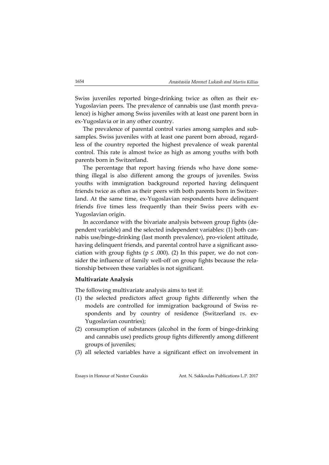Swiss juveniles reported binge-drinking twice as often as their ex-Yugoslavian peers. The prevalence of cannabis use (last month preva‐ lence) is higher among Swiss juveniles with at least one parent born in ex‐Yugoslavia or in any other country.

The prevalence of parental control varies among samples and subsamples. Swiss juveniles with at least one parent born abroad, regardless of the country reported the highest prevalence of weak parental control. This rate is almost twice as high as among youths with both parents born in Switzerland.

The percentage that report having friends who have done something illegal is also different among the groups of juveniles. Swiss youths with immigration background reported having delinquent friends twice as often as their peers with both parents born in Switzerland. At the same time, ex‐Yugoslavian respondents have delinquent friends five times less frequently than their Swiss peers with ex-Yugoslavian origin.

In accordance with the bivariate analysis between group fights (de‐ pendent variable) and the selected independent variables: (1) both cannabis use/binge‐drinking (last month prevalence), pro‐violent attitude, having delinquent friends, and parental control have a significant association with group fights ( $p \leq .000$ ). (2) In this paper, we do not consider the influence of family well-off on group fights because the relationship between these variables is not significant.

## **Multivariate Analysis**

The following multivariate analysis aims to test if:

- (1) the selected predictors affect group fights differently when the models are controlled for immigration background of Swiss re‐ spondents and by country of residence (Switzerland *vs.* ex-Yugoslavian countries);
- (2) consumption of substances (alcohol in the form of binge-drinking and cannabis use) predicts group fights differently among different groups of juveniles;
- (3) all selected variables have a significant effect on involvement in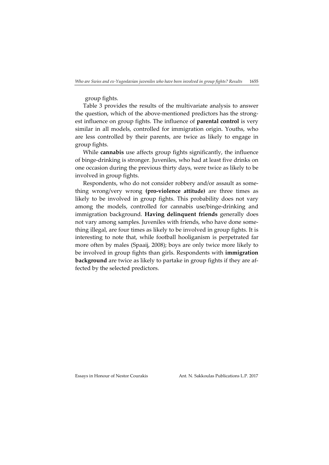group fights.

Table 3 provides the results of the multivariate analysis to answer the question, which of the above-mentioned predictors has the strongest influence on group fights. The influence of **parental control** is very similar in all models, controlled for immigration origin. Youths, who are less controlled by their parents, are twice as likely to engage in group fights.

While **cannabis** use affects group fights significantly, the influence of binge‐drinking is stronger. Juveniles, who had at least five drinks on one occasion during the previous thirty days, were twice as likely to be involved in group fights.

Respondents, who do not consider robbery and/or assault as something wrong/very wrong **(pro‐violence attitude)** are three times as likely to be involved in group fights. This probability does not vary among the models, controlled for cannabis use/binge‐drinking and immigration background. **Having delinquent friends** generally does not vary among samples. Juveniles with friends, who have done some‐ thing illegal, are four times as likely to be involved in group fights. It is interesting to note that, while football hooliganism is perpetrated far more often by males (Spaaij, 2008); boys are only twice more likely to be involved in group fights than girls. Respondents with **immigration background** are twice as likely to partake in group fights if they are affected by the selected predictors.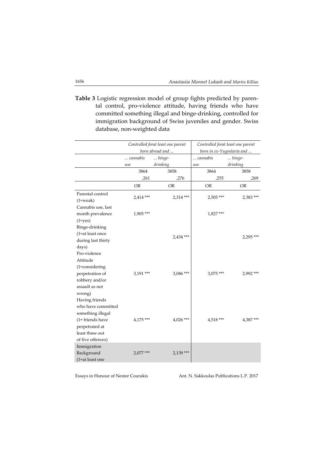**Table 3** Logistic regression model of group fights predicted by paren‐ tal control, pro‐violence attitude, having friends who have committed something illegal and binge‐drinking, controlled for immigration background of Swiss juveniles and gender. Swiss database, non‐weighted data

|                    |                 | Controlled forat least one parent | Controlled forat least one parent |                 |
|--------------------|-----------------|-----------------------------------|-----------------------------------|-----------------|
|                    | born abroad and |                                   | born in ex-Yugoslavia and         |                 |
|                    | cannabis        | binge-                            | cannabis                          | $\ldots$ binge- |
|                    | use             | drinking                          | use                               | drinking        |
|                    | 3864            | 3858                              | 3864                              | 3858            |
|                    | ,261            | ,276                              | ,255                              | ,269            |
|                    | <b>OR</b>       | <b>OR</b>                         | <b>OR</b>                         | <b>OR</b>       |
| Parental control   |                 |                                   |                                   |                 |
| $(1=weak)$         | 2,414 ***       | 2,314 ***                         | $2,505$ ***                       | 2,383 ***       |
| Cannabis use, last |                 |                                   |                                   |                 |
| month prevalence   | $1,905***$      |                                   | 1,827***                          |                 |
| $(1 = yes)$        |                 |                                   |                                   |                 |
| Binge-drinking     |                 |                                   |                                   |                 |
| (1=at least once   |                 | 2,434 ***                         |                                   |                 |
| during last thirty |                 |                                   |                                   | 2,295 ***       |
| days)              |                 |                                   |                                   |                 |
| Pro-violence       |                 |                                   |                                   |                 |
| Attitude           |                 |                                   |                                   |                 |
| (1=considering     |                 |                                   |                                   |                 |
| perpetration of    | 3,191***        | 3,086***                          | 3,075***                          | 2,992***        |
| robbery and/or     |                 |                                   |                                   |                 |
| assault as not     |                 |                                   |                                   |                 |
| wrong)             |                 |                                   |                                   |                 |
| Having friends     |                 |                                   |                                   |                 |
| who have committed |                 |                                   |                                   |                 |
| something illegal  |                 |                                   |                                   |                 |
| (1= friends have   | $4,175$ ***     | $4,026$ ***                       | 4,518 ***                         | 4,387***        |
| perpetrated at     |                 |                                   |                                   |                 |
| least three out    |                 |                                   |                                   |                 |
| of five offences)  |                 |                                   |                                   |                 |
| Immigration        |                 |                                   |                                   |                 |
| Background         | $2,077$ ***     | 2,139 ***                         |                                   |                 |
| (1=at least one    |                 |                                   |                                   |                 |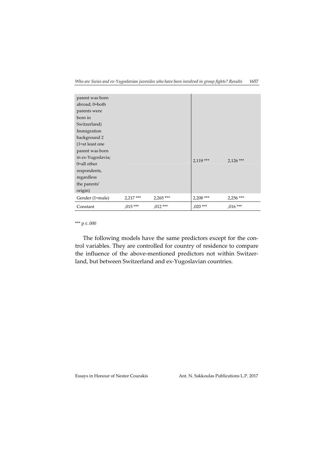| parent was born   |            |           |            |             |
|-------------------|------------|-----------|------------|-------------|
| abroad; 0=both    |            |           |            |             |
| parents were      |            |           |            |             |
| born in           |            |           |            |             |
| Switzerland)      |            |           |            |             |
| Immigration       |            |           |            |             |
| background 2      |            |           |            |             |
| $(1=at least one$ |            |           |            |             |
| parent was born   |            |           |            |             |
| in ex-Yugoslavia; |            |           |            |             |
| $0$ =all other    |            |           | $2,119***$ | $2,126$ *** |
| respondents,      |            |           |            |             |
| regardless        |            |           |            |             |
| the parents'      |            |           |            |             |
| origin)           |            |           |            |             |
| Gender (1=male)   | $2,217***$ | 2,265***  | 2,208 ***  | 2,256 ***   |
| Constant          | $,015***$  | $,012***$ | $,020$ *** | $,016***$   |

\*\*\* p ≤ .000

The following models have the same predictors except for the control variables. They are controlled for country of residence to compare the influence of the above-mentioned predictors not within Switzerland, but between Switzerland and ex‐Yugoslavian countries.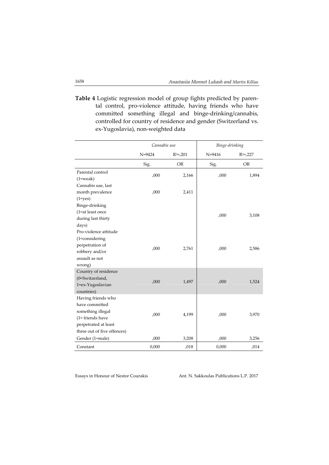**Table 4** Logistic regression model of group fights predicted by paren‐ tal control, pro‐violence attitude, having friends who have committed something illegal and binge‐drinking/cannabis, controlled for country of residence and gender (Switzerland vs. ex‐Yugoslavia), non‐weighted data

|                             | Cannabis use |             | Binge-drinking |             |
|-----------------------------|--------------|-------------|----------------|-------------|
|                             | $N = 9424$   | $R^2 = 201$ | $N = 9416$     | $R^2 = 227$ |
|                             | Sig.         | <b>OR</b>   | Sig.           | <b>OR</b>   |
| Parental control            | ,000         | 2,166       | ,000           | 1,894       |
| $(1=weak)$                  |              |             |                |             |
| Cannabis use, last          |              |             |                |             |
| month prevalence            | ,000         | 2,411       |                |             |
| $(1 = yes)$                 |              |             |                |             |
| Binge-drinking              |              |             |                |             |
| (1=at least once            |              |             |                |             |
| during last thirty          |              |             | ,000           | 3,108       |
| days)                       |              |             |                |             |
| Pro-violence attitude       |              |             |                |             |
| $(1 = \text{considering})$  |              |             |                |             |
| perpetration of             |              | 2,761       | ,000           |             |
| robbery and/or              | ,000         |             |                | 2,586       |
| assault as not              |              |             |                |             |
| wrong)                      |              |             |                |             |
| Country of residence        |              |             |                |             |
| (0=Switzerland,             |              |             |                |             |
| 1=ex-Yugoslavian            | ,000         | 1,497       | ,000           | 1,524       |
| countries)                  |              |             |                |             |
| Having friends who          |              |             |                |             |
| have committed              |              |             |                |             |
| something illegal           |              |             |                |             |
| $(1 =$ friends have         | ,000         | 4,199       | ,000           | 3,970       |
| perpetrated at least        |              |             |                |             |
| three out of five offences) |              |             |                |             |
| Gender (1=male)             | ,000         | 3,208       | ,000           | 3,256       |
| Constant                    | 0,000        | ,018        | 0,000          | ,014        |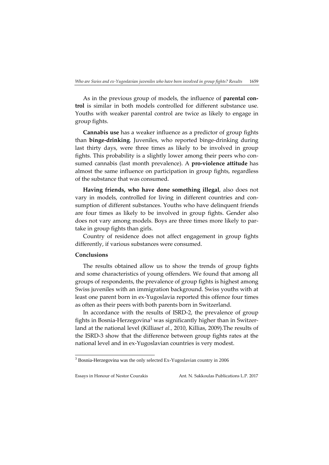As in the previous group of models, the influence of **parental con‐ trol** is similar in both models controlled for different substance use. Youths with weaker parental control are twice as likely to engage in group fights.

**Cannabis use** has a weaker influence as a predictor of group fights than **binge‐drinking**. Juveniles, who reported binge‐drinking during last thirty days, were three times as likely to be involved in group fights. This probability is a slightly lower among their peers who consumed cannabis (last month prevalence). A **pro‐violence attitude** has almost the same influence on participation in group fights, regardless of the substance that was consumed.

**Having friends, who have done something illegal**, also does not vary in models, controlled for living in different countries and consumption of different substances. Youths who have delinquent friends are four times as likely to be involved in group fights. Gender also does not vary among models. Boys are three times more likely to partake in group fights than girls.

Country of residence does not affect engagement in group fights differently, if various substances were consumed.

#### **Conclusions**

1

The results obtained allow us to show the trends of group fights and some characteristics of young offenders. We found that among all groups of respondents, the prevalence of group fights is highest among Swiss juveniles with an immigration background. Swiss youths with at least one parent born in ex‐Yugoslavia reported this offence four times as often as their peers with both parents born in Switzerland.

In accordance with the results of ISRD‐2, the prevalence of group fights in Bosnia-Herzegovina<sup>3</sup> was significantly higher than in Switzerland at the national level (Killias*et al.*, 2010, Killias, 2009).The results of the ISRD‐3 show that the difference between group fights rates at the national level and in ex‐Yugoslavian countries is very modest.

<sup>&</sup>lt;sup>3</sup> Bosnia-Herzegovina was the only selected Ex-Yugoslavian country in 2006